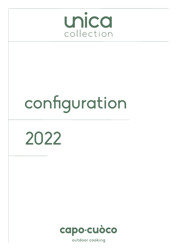

# configuration

2022

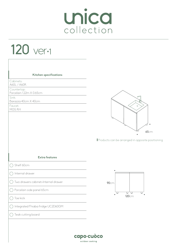# 120 ver-1

| Kitchen specifications                  |                                                  |
|-----------------------------------------|--------------------------------------------------|
| Cabinets:<br>A60L / A60R                |                                                  |
| Countertop:<br>Porcelain 1.22m X 0.65cm |                                                  |
| Sink:<br>Barazza 40cm X 40cm            | @                                                |
| Faucet:<br>MGS RH                       | $\circ$                                          |
|                                         | $\bullet$<br>65cm                                |
|                                         |                                                  |
|                                         | Products can be arranged in opposite positioning |
|                                         |                                                  |
| <b>Extra features</b>                   |                                                  |
| Shelf 60cm                              |                                                  |
| Internal drawer                         |                                                  |
| Two drawers cabinet+Internal drawer     | 90cm                                             |
| Porcelain side panel 65cm               | U<br>ㅁ                                           |
| Toe kick                                | <b>120cm</b>                                     |
| Integrated Fhiaba fridge UC2D60GM       |                                                  |

capo-cuòco outdoor cooking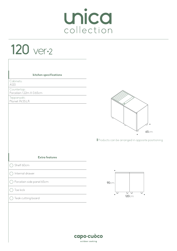#### 120 ver-2

| kitchen specifications                  |                                                          |
|-----------------------------------------|----------------------------------------------------------|
| Cabinets:<br>A120                       |                                                          |
| Countertop:<br>Porcelain 1.22m X 0.65cm |                                                          |
| Teppanyaki:<br>Pla.net IN.55.LR         | 65cm<br>Products can be arranged in opposite positioning |
| <b>Extra features</b>                   |                                                          |
| Shelf 60cm                              |                                                          |
| Internal drawer                         |                                                          |
| Porcelain side panel 65cm               | 90cm                                                     |
| Toe kick                                | U<br>u                                                   |
|                                         |                                                          |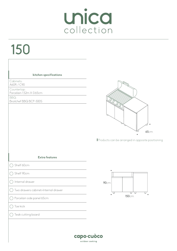# 150

| kitchen specifications                  |                                                                |
|-----------------------------------------|----------------------------------------------------------------|
| Cabinets:<br>A60R / C90                 |                                                                |
| Countertop:<br>Porcelain 1.52m X 0.65cm |                                                                |
| BBQ:<br>Broilchef BBQ BCP-500S          | .O<br>65cm<br>Products can be arranged in opposite positioning |
| <b>Extra features</b>                   |                                                                |
| Shelf 60cm                              |                                                                |
| Shelf 90cm                              |                                                                |
| Internal drawer                         | 90cm                                                           |
| Two drawers cabinet+Internal drawer     | ᠳ᠊<br>υ                                                        |
| $\bigcirc$ Porcelain side panel 65cm    | 150cm                                                          |
|                                         |                                                                |
| Toe kick                                |                                                                |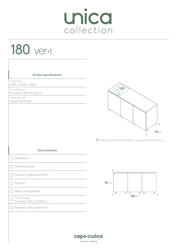#### 180 ver-1

| kitchen specifications                  |                                                          |
|-----------------------------------------|----------------------------------------------------------|
| Cabinets:<br>A60R / A60R / A60L         |                                                          |
| Countertop:<br>Porcelain 1.82m X 0.65cm | 可<br>`Õ                                                  |
| Cook burner:<br>Pla.net IN.F.DUAL       | 65cm<br>Products can be arranged in opposite positioning |
| <b>Extra features</b>                   |                                                          |
| Shelf 60cm                              |                                                          |
| Internal drawer                         |                                                          |
| Porcelain side panel 65cm               |                                                          |
| Toe kick                                | 90cm                                                     |
| Teak cutting board                      | U<br>U<br>└<br>⊍                                         |
| Countertop<br>Porcelain 1.82m X 0.92cm  | <b>180cm</b>                                             |
| Porcelain side panel 92cm               |                                                          |
|                                         |                                                          |
|                                         |                                                          |
|                                         | capo·cuòco<br>outdoor cooking                            |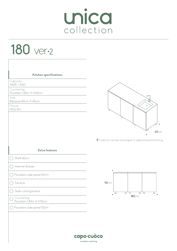#### 180 ver-2

| Kitchen specifications                  |                    |
|-----------------------------------------|--------------------|
| Cabinets:<br>A60R / A120                |                    |
| Countertop:<br>Porcelain 1.82m X 0.65cm |                    |
| Sink:<br>Barazza 40cm X 40cm            |                    |
| Faucet:<br>MGS RH                       |                    |
|                                         |                    |
|                                         |                    |
|                                         |                    |
|                                         | Products can be ar |
| <b>Extra features</b>                   |                    |
| Shelf 60cm                              |                    |
| Internal drawer                         |                    |
| Porcelain side panel 65cm               |                    |
| Toe kick                                | 90cm               |
| Teak cutting board                      |                    |
| Countertop<br>Porcelain 1.82m X 0.92cm  |                    |
| Porcelain side panel 92cm               |                    |
|                                         |                    |
|                                         |                    |
|                                         |                    |



rranged in opposite positioning

180cm

 $\top$ П  $\Box$ 

 $\Box$ П

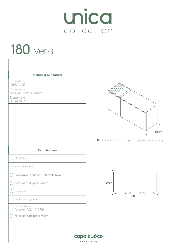#### 180 ver-3

| Kitchen specifications                  |                                                          |
|-----------------------------------------|----------------------------------------------------------|
| Cabinets:<br>A60R / A120                |                                                          |
| Countertop:<br>Porcelain 1.82m X 0.65cm |                                                          |
| Teppanyaki:<br>Pla.net IN.55.LR         |                                                          |
|                                         | 65cm<br>Products can be arranged in opposite positioning |
| <b>Extra features</b>                   |                                                          |
| Shelf 60cm                              |                                                          |
| Internal drawer                         |                                                          |
| Two drawers cabinet+Internal drawer     |                                                          |
| Porcelain side panel 65cm               | 90cm                                                     |
| Toe kick                                | U<br>□<br>ㅁ                                              |
| Teak cutting board                      | <b>180cm</b>                                             |
| Countertop<br>Porcelain 1.82m X 0.92cm  |                                                          |
| Porcelain side panel 92cm               |                                                          |
|                                         |                                                          |
|                                         | capo-cuòco                                               |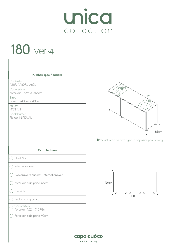#### 180 ver-4

| Cabinets:<br>A60R / A60R / A60L         |                                                          |
|-----------------------------------------|----------------------------------------------------------|
| Countertop:<br>Porcelain 1.82m X 0.65cm | 雨                                                        |
| Sink:<br>Barazza 40cm X 40cm            | ╔                                                        |
| Faucet:<br>MGS RH                       | $\circ$                                                  |
| Cook burner:<br>Pla.net IN.F.DUAL       |                                                          |
|                                         | 65cm<br>Products can be arranged in opposite positioning |
| <b>Extra features</b>                   |                                                          |
| Shelf 60cm                              |                                                          |
| Internal drawer                         |                                                          |
| Two drawers cabinet+Internal drawer     |                                                          |
| Porcelain side panel 65cm               | 90cm                                                     |
|                                         |                                                          |
| Toe kick                                |                                                          |
| $\bigcirc$ Teak cutting board           | <b>180cm</b>                                             |
| Countertop<br>Porcelain 1.82m X 0.92cm  |                                                          |

outdoor cooking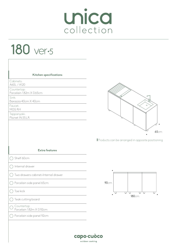#### 180 ver-5

| Kitchen specifications                  |                                                  |
|-----------------------------------------|--------------------------------------------------|
| Cabinets:<br>A60L / A120                |                                                  |
| Countertop:<br>Porcelain 1.82m X 0.65cm |                                                  |
| Sink:<br>Barazza 40cm X 40cm            | @                                                |
| Faucet:<br>MGS RH                       | $\circ$                                          |
| Teppanyaki:<br>Pla.net IN.55.LR         |                                                  |
|                                         | <b>65cm</b>                                      |
|                                         | Products can be arranged in opposite positioning |
| <b>Extra features</b>                   |                                                  |
| Shelf 60cm                              |                                                  |
| Internal drawer                         |                                                  |
| Two drawers cabinet+Internal drawer     |                                                  |
| Porcelain side panel 65cm               | 90cm                                             |
| Toe kick                                | □<br>□<br>⊔<br>⊔                                 |
| Teak cutting board                      | <b>180cm</b>                                     |
| Countertop                              |                                                  |
| Porcelain 1.82m X 0.92cm                |                                                  |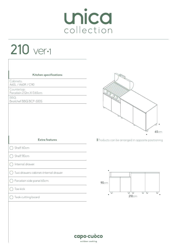# Unica

# 210 ver-1

| Kitchen specifications<br>Cabinets:<br>A60L / A60R / C90<br>Countertop:<br>Porcelain 2.12m X 0.65cm<br>BBQ:<br>Broilchef BBQ BCP-500S | .0<br>65cm                                       |
|---------------------------------------------------------------------------------------------------------------------------------------|--------------------------------------------------|
| <b>Extra features</b>                                                                                                                 | Products can be arranged in opposite positioning |
| Shelf 60cm                                                                                                                            |                                                  |
| Shelf 90cm                                                                                                                            |                                                  |
| Internal drawer                                                                                                                       |                                                  |
| Two drawers cabinet+Internal drawer                                                                                                   |                                                  |
| Porcelain side panel 65cm                                                                                                             | 90cm                                             |
| Toe kick                                                                                                                              |                                                  |
| $\bigcirc$ Teak cutting board                                                                                                         | U<br>⊍<br>U<br>⊍<br>210cm                        |
|                                                                                                                                       | capo·cuòco<br>outdoor cooking                    |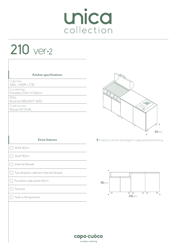# Unica

# 210 ver-2

| Kitchen specifications                  |                                                  |
|-----------------------------------------|--------------------------------------------------|
| Cabinets:<br>A60L / A60R / C90          |                                                  |
| Countertop:<br>Porcelain 2.12m X 0.65cm |                                                  |
| BBQ:<br>Broilchef BBQ BCP-500S          | .O                                               |
| Cook burner:<br>Pla.net IN.F.DUAL       | $\overline{p}$<br>$\Theta$                       |
|                                         | 65cm                                             |
| <b>Extra features</b>                   | Products can be arranged in opposite positioning |
| Shelf 60cm                              |                                                  |
| Shelf 90cm                              |                                                  |
| Internal drawer                         |                                                  |
| Two drawers cabinet+Internal drawer     |                                                  |
| Porcelain side panel 65cm               | 90cm                                             |
|                                         | ∪<br>∪<br>υ<br>U                                 |
| Toe kick                                |                                                  |

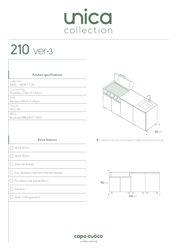# 210 ver-3

| Kitchen specifications                  |                                                  |
|-----------------------------------------|--------------------------------------------------|
| Cabinets:<br>A60L / A60R / C90          |                                                  |
| Countertop:<br>Porcelain 2.12m X 0.65cm |                                                  |
| Sink:<br>Barazza 40cm X 40cm            | ⇐                                                |
| Faucet:<br>MGS RH                       | $\circ$                                          |
| BBQ:<br>Broilchef BBQ BCP-500S          |                                                  |
|                                         |                                                  |
|                                         | 65cm                                             |
| <b>Extra features</b>                   | Products can be arranged in opposite positioning |
| Shelf 60cm                              |                                                  |
| Shelf 90cm                              |                                                  |
| Internal drawer                         |                                                  |
| Two drawers cabinet+Internal drawer     | $\bullet$                                        |
| Porcelain side panel 65cm               | 90cm                                             |
| Toe kick                                | □<br>┓<br>□<br>□                                 |
| Teak cutting board                      | 210cm                                            |
|                                         |                                                  |
|                                         |                                                  |
|                                         |                                                  |
|                                         |                                                  |

capo-cuòco outdoor cooking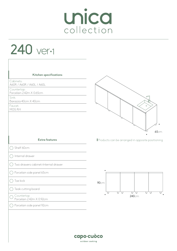# 240 ver-1

| Kitchen specifications<br>Cabinets:     |                                                  |
|-----------------------------------------|--------------------------------------------------|
| A60R / A60R / A60L / A60L               |                                                  |
| Countertop:<br>Porcelain 2.42m X 0.65cm |                                                  |
| Sink:<br>Barazza 40cm X 40cm            | @                                                |
| Faucet:                                 | $\circ$                                          |
| MGS RH                                  | <b>65cm</b>                                      |
| <b>Extra features</b>                   | Products can be arranged in opposite positioning |
| Shelf 60cm                              |                                                  |
| Internal drawer                         |                                                  |
| Two drawers cabinet+Internal drawer     |                                                  |
| Porcelain side panel 65cm               |                                                  |
| Toe kick                                | 90cm                                             |
| Teak cutting board                      | ਧ<br>ਧ<br>⊍<br>U<br>U<br>U                       |
| Countertop<br>Porcelain 2.42m X 0.92cm  | 240cm                                            |
| Porcelain side panel 92cm               |                                                  |
|                                         |                                                  |
|                                         |                                                  |
|                                         |                                                  |
|                                         | capo·cuòco                                       |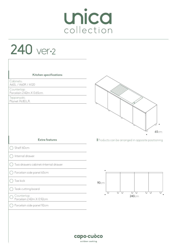240 ver-2

 $\overline{\Gamma}$ 

| Kitchen specifications<br>Cabinets:<br>A60L / A60R / A120<br>Countertop:<br>Porcelain 2.42m X 0.65cm<br>Teppanyaki:<br>Pla.net IN.80.LR | <b>65cm</b>                                      |
|-----------------------------------------------------------------------------------------------------------------------------------------|--------------------------------------------------|
| <b>Extra features</b>                                                                                                                   | Products can be arranged in opposite positioning |
| Shelf 60cm                                                                                                                              |                                                  |
| Internal drawer                                                                                                                         |                                                  |
| Two drawers cabinet+Internal drawer                                                                                                     |                                                  |
| Porcelain side panel 65cm                                                                                                               |                                                  |
| Toe kick                                                                                                                                | 90cm                                             |
| Teak cutting board                                                                                                                      |                                                  |
| Countertop<br>Porcelain 2.42m X 0.92cm                                                                                                  | ਰ ਰ<br>⋃<br>U<br>U<br>U<br>240cm                 |
| Porcelain side panel 92cm                                                                                                               |                                                  |
|                                                                                                                                         | capo·cuòco<br>outdoor cooking                    |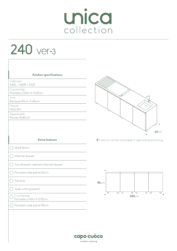# 240 ver-3

| Kitchen specifications                  |                                                  |
|-----------------------------------------|--------------------------------------------------|
| Cabinets:<br>A60L / A60R / A120         |                                                  |
| Countertop:<br>Porcelain 2.42m X 0.65cm |                                                  |
| Sink:                                   | @                                                |
| Barazza 40cm X 40cm<br>Faucet:          | $\circ$                                          |
| MGS RH<br>Teppanyaki:                   |                                                  |
| Pla.net IN.80.LR                        |                                                  |
|                                         |                                                  |
|                                         | <b>65cm</b>                                      |
| <b>Extra features</b>                   | Products can be arranged in opposite positioning |
| Shelf 60cm                              |                                                  |
| Internal drawer                         |                                                  |
| Two drawers cabinet+Internal drawer     |                                                  |
| Porcelain side panel 65cm               |                                                  |
| Toe kick                                | 90cm                                             |
| Teak cutting board                      |                                                  |
| Countertop<br>Porcelain 2.42m X 0.92cm  | ∪<br>U<br>Ų<br>U<br>U<br>U<br>240cm              |
| Porcelain side panel 92cm               |                                                  |
|                                         |                                                  |
|                                         |                                                  |
|                                         |                                                  |
|                                         | capo-cuòco                                       |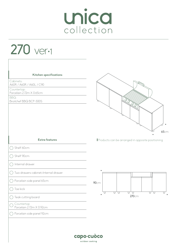270 ver-1

| Kitchen specifications                  |                                                  |
|-----------------------------------------|--------------------------------------------------|
| Cabinets:<br>A60R / A60R / A60L / C90   |                                                  |
| Countertop:<br>Porcelain 2.72m X 0.65cm |                                                  |
| BBQ:<br>Broilchef BBQ BCP-500S          |                                                  |
|                                         | 65cm                                             |
| <b>Extra features</b>                   | Products can be arranged in opposite positioning |
| Shelf 60cm                              |                                                  |
| Shelf 90cm                              |                                                  |
| Internal drawer                         |                                                  |
| Two drawers cabinet+Internal drawer     |                                                  |
| Porcelain side panel 65cm               | 90cm                                             |
| Toe kick                                | ਧ<br>ॻ<br>U<br>❏<br>U<br>⊔                       |
| Teak cutting board                      | 270cm                                            |
| Countertop<br>Porcelain 2.72m X 0.92cm  |                                                  |
| Porcelain side panel 92cm               |                                                  |
|                                         |                                                  |
|                                         |                                                  |

capo-cuòco outdoor cooking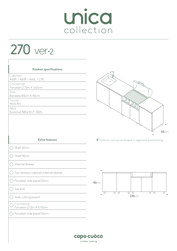270 ver-2

| Kitchen specifications                  | $\sqrt{2}$                                       |
|-----------------------------------------|--------------------------------------------------|
| Cabinets:<br>A60R / A60R / A60L / C90   |                                                  |
| Countertop:<br>Porcelain 2.72m X 0.65cm | $\circ$                                          |
| Sink:<br>Barazza 40cm X 40cm            |                                                  |
| Faucet:<br>MGS RH                       |                                                  |
| BBQ:<br>Broilchef BBQ BCP-500S          |                                                  |
|                                         |                                                  |
|                                         | 65cm                                             |
| <b>Extra features</b>                   | Products can be arranged in opposite positioning |
| Shelf 60cm                              |                                                  |
| Shelf 90cm                              |                                                  |
| Internal drawer                         |                                                  |
| Two drawers cabinet+Internal drawer     |                                                  |
| Porcelain side panel 65cm               | 90cm                                             |
| Toe kick                                | U<br>U                                           |
| $\bigcirc$ Teak cutting board           | 270cm                                            |
| Countertop<br>Porcelain 2.72m X 0.92cm  |                                                  |
| Porcelain side panel 92cm               |                                                  |
|                                         |                                                  |

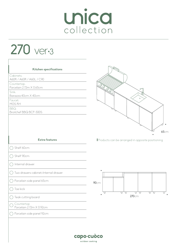270 ver-3

| Kitchen specifications<br>Cabinets:<br>A60R / A60R / A60L / C90<br>Countertop:<br>Porcelain 2.72m X 0.65cm<br>Sink:<br>Barazza 40cm X 40cm<br>Faucet:<br>MGS RH<br>BBQ:<br>Broilchef BBQ BCP-500S | @<br>$\circ$<br>6                                |
|---------------------------------------------------------------------------------------------------------------------------------------------------------------------------------------------------|--------------------------------------------------|
| <b>Extra features</b>                                                                                                                                                                             | Products can be arranged in opposite positioning |
| Shelf 60cm                                                                                                                                                                                        |                                                  |
| Shelf 90cm                                                                                                                                                                                        |                                                  |
| Internal drawer                                                                                                                                                                                   |                                                  |
| Two drawers cabinet+Internal drawer                                                                                                                                                               |                                                  |
| Porcelain side panel 65cm                                                                                                                                                                         | 90cm                                             |
| Toe kick                                                                                                                                                                                          |                                                  |
| Teak cutting board                                                                                                                                                                                | ∪<br>∪<br>∪<br>U<br>ㅁ<br>⊔<br>270cm              |
| Countertop<br>Porcelain 2.72m X 0.92cm                                                                                                                                                            |                                                  |
| Porcelain side panel 92cm                                                                                                                                                                         |                                                  |
|                                                                                                                                                                                                   |                                                  |

65cm

ਧ

 $\bullet$ 

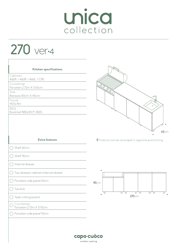270 ver-4

| Kitchen specifications                  |                                                                 |
|-----------------------------------------|-----------------------------------------------------------------|
| Cabinets:<br>A60R / A60R / A60L / C90   |                                                                 |
| Countertop:<br>Porcelain 2.72m X 0.65cm |                                                                 |
| Sink:<br>Barazza 40cm X 40cm            | @                                                               |
| Faucet:<br>MGS RH                       |                                                                 |
| BBQ:<br>Broilchef BBQ BCP-500S          | $\circ$                                                         |
|                                         |                                                                 |
| <b>Extra features</b>                   | <b>65cm</b><br>Products can be arranged in opposite positioning |
| Shelf 60cm                              |                                                                 |
| Shelf 90cm                              |                                                                 |
| Internal drawer                         |                                                                 |
| Two drawers cabinet+Internal drawer     |                                                                 |
| Porcelain side panel 65cm               | 90cm                                                            |
| Toe kick                                | ᠳ᠊<br>$\Box$<br>∪                                               |
| Teak cutting board                      | ਧਰ<br>٠<br>270cm                                                |
| Countertop<br>Porcelain 2.72m X 0.92cm  |                                                                 |
| Porcelain side panel 92cm               |                                                                 |
|                                         |                                                                 |

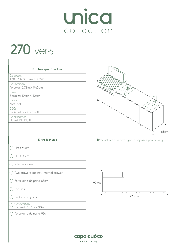270 ver-5

| Kitchen specifications                  |                                                  |
|-----------------------------------------|--------------------------------------------------|
| Cabinets:<br>A60R / A60R / A60L / C90   |                                                  |
| Countertop:<br>Porcelain 2.72m X 0.65cm | 可                                                |
| Sink:<br>Barazza 40cm X 40cm            | "                                                |
| Faucet:<br>MGS RH                       | $\circ$                                          |
| BBQ:<br>Broilchef BBQ BCP-500S          |                                                  |
| Cook burner:<br>Pla.net IN.F.DUAL       |                                                  |
|                                         | 6                                                |
| <b>Extra features</b>                   | Products can be arranged in opposite positioning |
| Shelf 60cm                              |                                                  |
| Shelf 90cm                              |                                                  |
| Internal drawer                         |                                                  |
| Two drawers cabinet+Internal drawer     |                                                  |
| Porcelain side panel 65cm               | 90cm                                             |
| Toe kick                                | U<br>U<br>⊔                                      |
| ◯ Teak cutting board                    | 270cm                                            |
| Countertop<br>Porcelain 2.72m X 0.92cm  |                                                  |
| Porcelain side panel 92cm               |                                                  |
|                                         |                                                  |

65cm

 $\Box$ 

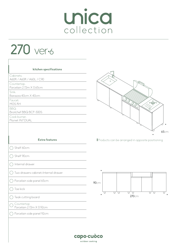# Unica

270 ver-6

| kitchen specifications                  | @                                                |
|-----------------------------------------|--------------------------------------------------|
| Cabinets:<br>A60R / A60R / A60L / C90   | $\circ$                                          |
| Countertop:<br>Porcelain 2.72m X 0.65cm |                                                  |
| Sink:<br>Barazza 40cm X 40cm            |                                                  |
| Faucet:<br>MGS RH                       | 同一                                               |
| BBQ:<br>Broilchef BBQ BCP-500S          | $\Theta$                                         |
| Cook burner:<br>Pla.net IN.F.DUAL       |                                                  |
|                                         |                                                  |
|                                         | 6                                                |
| <b>Extra features</b>                   | Products can be arranged in opposite positioning |
| Shelf 60cm                              |                                                  |
| Shelf 90cm                              |                                                  |
| Internal drawer                         |                                                  |
| Two drawers cabinet+Internal drawer     |                                                  |
| Porcelain side panel 65cm               | 90cm                                             |
| Toe kick                                | υ<br>⊔                                           |
| $\bigcirc$ Teak cutting board           | 270cm                                            |
| Countertop<br>Porcelain 2.72m X 0.92cm  |                                                  |
| Porcelain side panel 92cm               |                                                  |
|                                         |                                                  |

65cm

 $\Box$ 

capo-cuòco outdoor cooking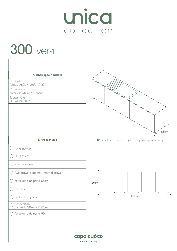300 ver-1

| Kitchen specifications                 |                                                  |
|----------------------------------------|--------------------------------------------------|
| Cabinets:<br>A60L / A60L / A60R / A120 |                                                  |
| Countertop:                            |                                                  |
| Porcelain 3.02m X 0.65cm               |                                                  |
| Teppanyaki:<br>Pla.net IN.80.LR        |                                                  |
|                                        |                                                  |
|                                        |                                                  |
|                                        |                                                  |
|                                        |                                                  |
|                                        | 65cm                                             |
| <b>Extra features</b>                  | Products can be arranged in opposite positioning |
| Cook burner                            |                                                  |
| Shelf 60cm<br>n.                       |                                                  |
| Internal drawer                        |                                                  |
| Two drawers cabinet+Internal drawer    |                                                  |
| Porcelain side panel 65cm<br>n.        | 90cm                                             |
| Toe kick                               | U<br>❏<br>□<br>□<br>U<br>U<br>ப                  |
| $\bigcirc$ Teak cutting board          | 300cm                                            |
| Countertop<br>Porcelain 3.02m X 0.92cm |                                                  |
| Porcelain side panel 92cm              |                                                  |
|                                        |                                                  |
|                                        |                                                  |
|                                        | capo-cuòco                                       |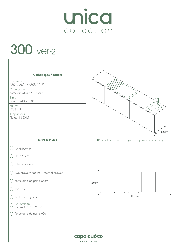# 300 ver-2

| Kitchen specifications                 |                                                  |
|----------------------------------------|--------------------------------------------------|
| Cabinets:<br>A60L / A60L / A60R / A120 |                                                  |
| Countertop:                            |                                                  |
| Porcelain 3.02m X 0.65cm<br>Sink:      |                                                  |
| Barazza 40cmx40cm                      | ⋷                                                |
| Faucet:<br>MGS RH                      | $\circ$                                          |
| Teppanyaki:                            |                                                  |
| Pla.net IN.80.LR                       |                                                  |
|                                        |                                                  |
|                                        | 65cm                                             |
| <b>Extra features</b>                  | Products can be arranged in opposite positioning |
| Cook burner                            |                                                  |
| Shelf 60cm                             |                                                  |
| Internal drawer                        |                                                  |
| Two drawers cabinet+Internal drawer    |                                                  |
| Porcelain side panel 65cm<br>T.        | 90cm                                             |
| Toe kick                               | □<br>□<br>U<br>U<br>□<br>⊔<br>لیا                |
| Teak cutting board                     | 300cm                                            |
| Countertop<br>Porcelain3.02m X 0.92cm  |                                                  |
| Porcelain side panel 92cm              |                                                  |
|                                        |                                                  |
|                                        |                                                  |
|                                        |                                                  |
|                                        | capo-cuòco                                       |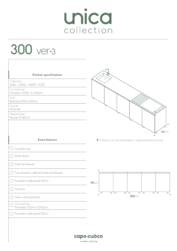# 300 ver-3

 $\sqrt{2}$ 

| Kitchen specifications                  | г                                                |
|-----------------------------------------|--------------------------------------------------|
| Cabinets:<br>A60L / A60L / A60R / A120  | $\circ$                                          |
| Countertop:<br>Porcelain 3.02m X 0.65cm |                                                  |
| Sink:<br>Barazza 40cmx40cm              |                                                  |
| Faucet:<br>MGS RH                       |                                                  |
| Teppanyaki:<br>Pla.net IN.80.LR         |                                                  |
|                                         | 65cm                                             |
| <b>Extra features</b>                   | Products can be arranged in opposite positioning |
| Cook burner<br>$($ )                    |                                                  |
| Shelf 60cm                              |                                                  |
| Internal drawer                         |                                                  |
| Two drawers cabinet+Internal drawer     |                                                  |
| Porcelain side panel 65cm               | <b>90cm</b>                                      |
| Toe kick                                | U<br>ਧ<br>切<br>□<br>❏<br>U<br>□<br>□             |
| Teak cutting board                      | 300cm                                            |
| Countertop<br>Porcelain 3.02m X 0.92cm  |                                                  |
| Porcelain side panel 92cm               |                                                  |
|                                         |                                                  |
|                                         |                                                  |
|                                         | capo·cuòco<br>outdoor cooking                    |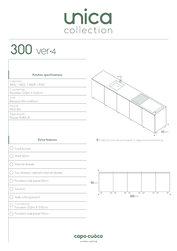# 300 ver-4

 $\overline{1}$ 

| Kitchen specifications<br>Cabinets:<br>A60L / A60L / A60R / A120<br>Countertop:<br>Porcelain 3.02m X 0.65cm<br>Sink:<br>Barazza 40cmx40cm<br>Faucet:<br>MGS RH<br>Teppanyaki:<br>Pla.net IN.80.LR | Г<br>$\circ$<br>65cm                             |
|---------------------------------------------------------------------------------------------------------------------------------------------------------------------------------------------------|--------------------------------------------------|
| <b>Extra features</b>                                                                                                                                                                             | Products can be arranged in opposite positioning |
| Cook burner                                                                                                                                                                                       |                                                  |
| Shelf 60cm                                                                                                                                                                                        |                                                  |
| Internal drawer                                                                                                                                                                                   |                                                  |
| Two drawers cabinet+Internal drawer                                                                                                                                                               | ٠                                                |
| Porcelain side panel 65cm                                                                                                                                                                         | <b>90cm</b>                                      |
| Toe kick                                                                                                                                                                                          |                                                  |
| Teak cutting board                                                                                                                                                                                | U<br>∪<br>U.<br>U<br>U<br>U<br>U<br>Ų<br>300cm   |
| Countertop<br>Porcelain 3.02m X 0.92cm                                                                                                                                                            |                                                  |
| Porcelain side panel 92cm                                                                                                                                                                         |                                                  |
|                                                                                                                                                                                                   | capo-cuòco<br>outdoor cooking                    |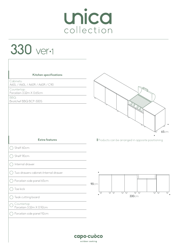#### 330 ver-1

| Kitchen specifications                       |                                                  |
|----------------------------------------------|--------------------------------------------------|
| Cabinets:<br>A60L / A60L / A60R / A60R / C90 |                                                  |
| Countertop:<br>Porcelain 3.32m X 0.65cm      |                                                  |
| BBQ:<br>Broilchef BBQ BCP-500S               |                                                  |
|                                              | O<br>65cm                                        |
| <b>Extra features</b>                        | Products can be arranged in opposite positioning |
| Shelf 60cm                                   |                                                  |
| Shelf 90cm                                   |                                                  |
| Internal drawer                              |                                                  |
| Two drawers cabinet+Internal drawer          |                                                  |
| Porcelain side panel 65cm                    | 90cm                                             |
| Toe kick                                     | U<br>U<br>□<br>U<br>□<br>U<br>∪<br>□             |
| $\bigcirc$ Teak cutting board                | 330cm                                            |
| Countertop<br>Porcelain 3.32m X 0.92cm       |                                                  |
| Porcelain side panel 92cm                    |                                                  |
|                                              |                                                  |
|                                              |                                                  |

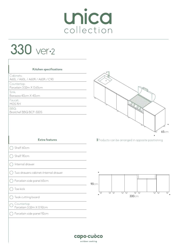330 ver-2

 $\overline{1}$ 

| Kitchen specifications<br>Cabinets:<br>A60L / A60L / A60R / A60R / C90 | @<br>$\circ$                                     |
|------------------------------------------------------------------------|--------------------------------------------------|
| Countertop:<br>Porcelain 3.32m X 0.65cm                                |                                                  |
| Sink:<br>Barazza 40cm X 40cm                                           |                                                  |
| Faucet:<br>MGS RH                                                      |                                                  |
| BBQ:<br>Broilchef BBQ BCP-500S                                         | Q<br>$\mathcal{Q}$                               |
|                                                                        | 65cm                                             |
| <b>Extra features</b>                                                  | Products can be arranged in opposite positioning |
| Shelf 60cm                                                             |                                                  |
| Shelf 90cm                                                             |                                                  |
| Internal drawer                                                        |                                                  |
| Two drawers cabinet+Internal drawer                                    |                                                  |
| Porcelain side panel 65cm                                              | 90cm                                             |
| Toe kick                                                               |                                                  |
| Teak cutting board                                                     | U<br>U<br>ਧ<br>□<br>U<br>∪<br>□<br>330cm         |
| Countertop                                                             |                                                  |
| Porcelain 3.32m X 0.92cm                                               |                                                  |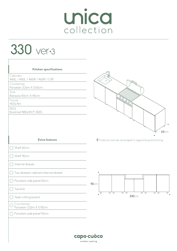#### 330 ver-3

 $\sqrt{2}$ 

| Kitchen specifications                       | ╒                                                               |
|----------------------------------------------|-----------------------------------------------------------------|
| Cabinets:<br>A60L / A60L / A60R / A60R / C90 | $\circ$                                                         |
| Countertop:<br>Porcelain 3.32m X 0.65cm      |                                                                 |
| Sink:<br>Barazza 40cm X 40cm                 |                                                                 |
| Faucet:<br>MGS RH                            | Q<br>Q                                                          |
| BBQ:<br>Broilchef BBQ BCP-500S               |                                                                 |
|                                              |                                                                 |
| <b>Extra features</b>                        | <b>65cm</b><br>Products can be arranged in opposite positioning |
| Shelf 60cm                                   |                                                                 |
| Shelf 90cm                                   |                                                                 |
| Internal drawer                              |                                                                 |
| Two drawers cabinet+Internal drawer          |                                                                 |
| Porcelain side panel 65cm                    | 90cm                                                            |
| Toe kick                                     | □<br>U<br>□<br>ਧ<br>ਧ<br>□<br>∪<br>U                            |
|                                              | 330cm                                                           |
| Teak cutting board                           |                                                                 |
| Countertop<br>Porcelain 3.32m X 0.92cm       |                                                                 |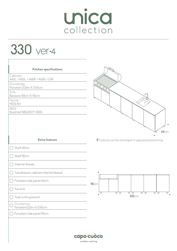330 ver-4

| Kitchen specifications                       |                                                                                                                                                                                                                                                                                                                                                                             |
|----------------------------------------------|-----------------------------------------------------------------------------------------------------------------------------------------------------------------------------------------------------------------------------------------------------------------------------------------------------------------------------------------------------------------------------|
| Cabinets:<br>A60L / A60L / A60R / A60R / C90 |                                                                                                                                                                                                                                                                                                                                                                             |
| Countertop:<br>Porcelain 3.32m X 0.65cm      | $\begin{picture}(120,15) \put(0,0){\vector(1,0){10}} \put(15,0){\vector(1,0){10}} \put(15,0){\vector(1,0){10}} \put(15,0){\vector(1,0){10}} \put(15,0){\vector(1,0){10}} \put(15,0){\vector(1,0){10}} \put(15,0){\vector(1,0){10}} \put(15,0){\vector(1,0){10}} \put(15,0){\vector(1,0){10}} \put(15,0){\vector(1,0){10}} \put(15,0){\vector(1,0){10}} \put(15,0){\vector($ |
| Sink:<br>Barazza 40cm X 40cm                 | Г                                                                                                                                                                                                                                                                                                                                                                           |
| Faucet:<br>MGS RH                            | $\circ$                                                                                                                                                                                                                                                                                                                                                                     |
| BBQ:<br>Broilchef BBQ BCP-500S               |                                                                                                                                                                                                                                                                                                                                                                             |
|                                              | 65cm                                                                                                                                                                                                                                                                                                                                                                        |
| <b>Extra features</b>                        | Products can be arranged in opposite positioning                                                                                                                                                                                                                                                                                                                            |
| Shelf 60cm                                   |                                                                                                                                                                                                                                                                                                                                                                             |
| Shelf 90cm                                   |                                                                                                                                                                                                                                                                                                                                                                             |
| Internal drawer                              |                                                                                                                                                                                                                                                                                                                                                                             |
| Two drawers cabinet+Internal drawer          |                                                                                                                                                                                                                                                                                                                                                                             |
| Porcelain side panel 65cm                    | 90cm                                                                                                                                                                                                                                                                                                                                                                        |
| Toe kick                                     | ਧ<br>∪<br>U<br>∪<br>U<br>∪<br>□<br>ш                                                                                                                                                                                                                                                                                                                                        |
| Teak cutting board                           | 330cm                                                                                                                                                                                                                                                                                                                                                                       |
|                                              |                                                                                                                                                                                                                                                                                                                                                                             |
| Countertop<br>Porcelain3.32m X 0.92cm        |                                                                                                                                                                                                                                                                                                                                                                             |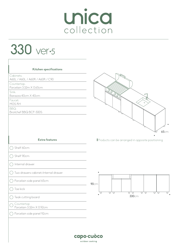#### 330 ver-5

 $\overline{1}$ 

| Kitchen specifications                       |                                                  |
|----------------------------------------------|--------------------------------------------------|
| Cabinets:<br>A60L / A60L / A60R / A60R / C90 |                                                  |
| Countertop:<br>Porcelain 3.32m X 0.65cm      |                                                  |
| Sink:<br>Barazza 40cm X 40cm                 | @<br>.0                                          |
| Faucet:<br>MGS RH                            | $\circ$                                          |
| BBQ:<br>Broilchef BBQ BCP-500S               |                                                  |
|                                              | 65cm                                             |
| <b>Extra features</b>                        | Products can be arranged in opposite positioning |
| Shelf 60cm                                   |                                                  |
| Shelf 90cm                                   |                                                  |
| Internal drawer                              |                                                  |
| Two drawers cabinet+Internal drawer          |                                                  |
| Porcelain side panel 65cm                    | 90cm                                             |
| Toe kick                                     |                                                  |
| Teak cutting board                           | ਹ ਹ<br>ਹ ਹ<br>ਧ<br>ਧ<br>ਧ<br>U<br>330cm          |
|                                              |                                                  |
| Countertop<br>Porcelain 3.32m X 0.92cm       |                                                  |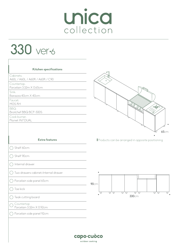# Unica

#### 330 ver-6

| Kitchen specifications                       | @                                                                                                                                                                                                                                                                                                                                                                             |
|----------------------------------------------|-------------------------------------------------------------------------------------------------------------------------------------------------------------------------------------------------------------------------------------------------------------------------------------------------------------------------------------------------------------------------------|
| Cabinets:<br>A60L / A60L / A60R / A60R / C90 | $\circ$                                                                                                                                                                                                                                                                                                                                                                       |
| Countertop:<br>Porcelain 3.32m X 0.65cm      |                                                                                                                                                                                                                                                                                                                                                                               |
| Sink:<br>Barazza 40cm X 40cm                 |                                                                                                                                                                                                                                                                                                                                                                               |
| Faucet:<br>MGS RH                            |                                                                                                                                                                                                                                                                                                                                                                               |
| BBQ:<br>Broilchef BBQ BCP-500S               | $\begin{picture}(120,140) \put(0,0){\vector(1,0){100}} \put(15,0){\vector(1,0){100}} \put(15,0){\vector(1,0){100}} \put(15,0){\vector(1,0){100}} \put(15,0){\vector(1,0){100}} \put(15,0){\vector(1,0){100}} \put(15,0){\vector(1,0){100}} \put(15,0){\vector(1,0){100}} \put(15,0){\vector(1,0){100}} \put(15,0){\vector(1,0){100}} \put(15,0){\vector(1,0){100$<br>Q<br>'Öʻ |
| Cook burner:<br>Pla.net IN.F.DUAL            |                                                                                                                                                                                                                                                                                                                                                                               |
| <b>Extra features</b>                        | 6<br>Products can be arranged in opposite positioning                                                                                                                                                                                                                                                                                                                         |
| Shelf 60cm                                   |                                                                                                                                                                                                                                                                                                                                                                               |
| Shelf 90cm                                   |                                                                                                                                                                                                                                                                                                                                                                               |
| Internal drawer                              |                                                                                                                                                                                                                                                                                                                                                                               |
| Two drawers cabinet+Internal drawer          |                                                                                                                                                                                                                                                                                                                                                                               |
| Porcelain side panel 65cm                    | 90cm                                                                                                                                                                                                                                                                                                                                                                          |
| Toe kick                                     | U<br>∪                                                                                                                                                                                                                                                                                                                                                                        |
| Teak cutting board                           | □<br>ॻ<br>U<br>U<br>Ų<br>330cm                                                                                                                                                                                                                                                                                                                                                |
| Countertop                                   |                                                                                                                                                                                                                                                                                                                                                                               |
| Porcelain 3.32m X 0.92cm                     |                                                                                                                                                                                                                                                                                                                                                                               |

65cm